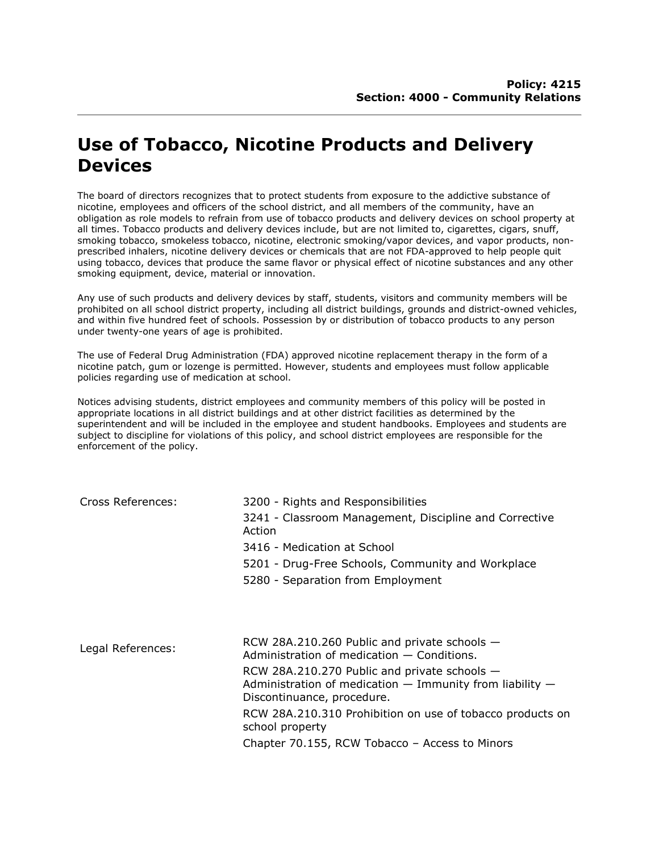## **Use of Tobacco, Nicotine Products and Delivery Devices**

The board of directors recognizes that to protect students from exposure to the addictive substance of nicotine, employees and officers of the school district, and all members of the community, have an obligation as role models to refrain from use of tobacco products and delivery devices on school property at all times. Tobacco products and delivery devices include, but are not limited to, cigarettes, cigars, snuff, smoking tobacco, smokeless tobacco, nicotine, electronic smoking/vapor devices, and vapor products, nonprescribed inhalers, nicotine delivery devices or chemicals that are not FDA-approved to help people quit using tobacco, devices that produce the same flavor or physical effect of nicotine substances and any other smoking equipment, device, material or innovation.

Any use of such products and delivery devices by staff, students, visitors and community members will be prohibited on all school district property, including all district buildings, grounds and district-owned vehicles, and within five hundred feet of schools. Possession by or distribution of tobacco products to any person under twenty-one years of age is prohibited.

The use of Federal Drug Administration (FDA) approved nicotine replacement therapy in the form of a nicotine patch, gum or lozenge is permitted. However, students and employees must follow applicable policies regarding use of medication at school.

Notices advising students, district employees and community members of this policy will be posted in appropriate locations in all district buildings and at other district facilities as determined by the superintendent and will be included in the employee and student handbooks. Employees and students are subject to discipline for violations of this policy, and school district employees are responsible for the enforcement of the policy.

| Cross References: | 3200 - Rights and Responsibilities                                                                                                         |
|-------------------|--------------------------------------------------------------------------------------------------------------------------------------------|
|                   | 3241 - Classroom Management, Discipline and Corrective<br>Action                                                                           |
|                   | 3416 - Medication at School                                                                                                                |
|                   | 5201 - Drug-Free Schools, Community and Workplace                                                                                          |
|                   | 5280 - Separation from Employment                                                                                                          |
|                   |                                                                                                                                            |
| Legal References: | RCW 28A.210.260 Public and private schools -<br>Administration of medication $-$ Conditions.                                               |
|                   | RCW 28A.210.270 Public and private schools -<br>Administration of medication $-$ Immunity from liability $-$<br>Discontinuance, procedure. |
|                   | RCW 28A.210.310 Prohibition on use of tobacco products on<br>school property                                                               |
|                   | Chapter 70.155, RCW Tobacco - Access to Minors                                                                                             |